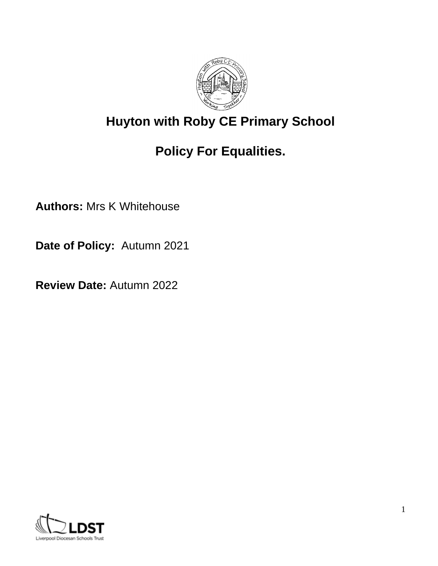

# **Huyton with Roby CE Primary School**

# **Policy For Equalities.**

**Authors:** Mrs K Whitehouse

**Date of Policy:** Autumn 2021

**Review Date:** Autumn 2022

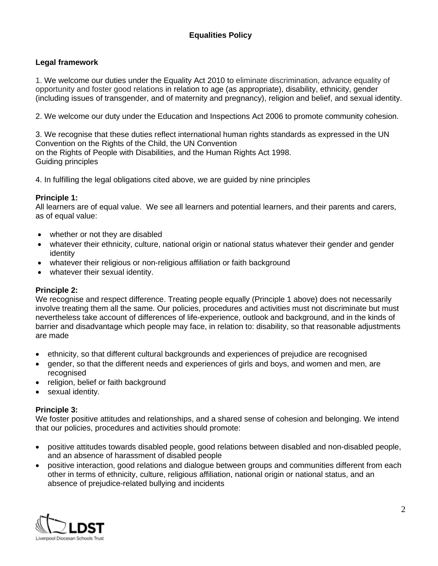# **Legal framework**

1. We welcome our duties under the Equality Act 2010 to eliminate discrimination, advance equality of opportunity and foster good relations in relation to age (as appropriate), disability, ethnicity, gender (including issues of transgender, and of maternity and pregnancy), religion and belief, and sexual identity.

2. We welcome our duty under the Education and Inspections Act 2006 to promote community cohesion.

3. We recognise that these duties reflect international human rights standards as expressed in the UN Convention on the Rights of the Child, the UN Convention on the Rights of People with Disabilities, and the Human Rights Act 1998. Guiding principles

4. In fulfilling the legal obligations cited above, we are guided by nine principles

#### **Principle 1:**

All learners are of equal value. We see all learners and potential learners, and their parents and carers, as of equal value:

- whether or not they are disabled
- whatever their ethnicity, culture, national origin or national status whatever their gender and gender identity
- whatever their religious or non-religious affiliation or faith background
- whatever their sexual identity.

#### **Principle 2:**

We recognise and respect difference. Treating people equally (Principle 1 above) does not necessarily involve treating them all the same. Our policies, procedures and activities must not discriminate but must nevertheless take account of differences of life-experience, outlook and background, and in the kinds of barrier and disadvantage which people may face, in relation to: disability, so that reasonable adjustments are made

- ethnicity, so that different cultural backgrounds and experiences of prejudice are recognised
- gender, so that the different needs and experiences of girls and boys, and women and men, are recognised
- religion, belief or faith background
- sexual identity.

#### **Principle 3:**

We foster positive attitudes and relationships, and a shared sense of cohesion and belonging. We intend that our policies, procedures and activities should promote:

- positive attitudes towards disabled people, good relations between disabled and non-disabled people, and an absence of harassment of disabled people
- positive interaction, good relations and dialogue between groups and communities different from each other in terms of ethnicity, culture, religious affiliation, national origin or national status, and an absence of prejudice-related bullying and incidents

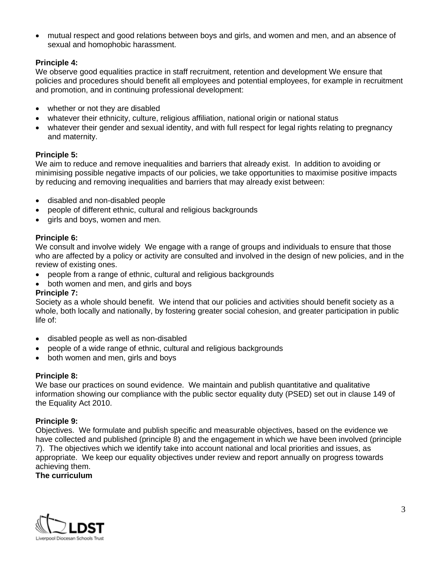• mutual respect and good relations between boys and girls, and women and men, and an absence of sexual and homophobic harassment.

# **Principle 4:**

We observe good equalities practice in staff recruitment, retention and development We ensure that policies and procedures should benefit all employees and potential employees, for example in recruitment and promotion, and in continuing professional development:

- whether or not they are disabled
- whatever their ethnicity, culture, religious affiliation, national origin or national status
- whatever their gender and sexual identity, and with full respect for legal rights relating to pregnancy and maternity.

#### **Principle 5:**

We aim to reduce and remove inequalities and barriers that already exist. In addition to avoiding or minimising possible negative impacts of our policies, we take opportunities to maximise positive impacts by reducing and removing inequalities and barriers that may already exist between:

- disabled and non-disabled people
- people of different ethnic, cultural and religious backgrounds
- girls and boys, women and men.

#### **Principle 6:**

We consult and involve widely We engage with a range of groups and individuals to ensure that those who are affected by a policy or activity are consulted and involved in the design of new policies, and in the review of existing ones.

- people from a range of ethnic, cultural and religious backgrounds
- both women and men, and girls and boys

#### **Principle 7:**

Society as a whole should benefit. We intend that our policies and activities should benefit society as a whole, both locally and nationally, by fostering greater social cohesion, and greater participation in public life of:

- disabled people as well as non-disabled
- people of a wide range of ethnic, cultural and religious backgrounds
- both women and men, girls and boys

#### **Principle 8:**

We base our practices on sound evidence. We maintain and publish quantitative and qualitative information showing our compliance with the public sector equality duty (PSED) set out in clause 149 of the Equality Act 2010.

#### **Principle 9:**

Objectives. We formulate and publish specific and measurable objectives, based on the evidence we have collected and published (principle 8) and the engagement in which we have been involved (principle 7). The objectives which we identify take into account national and local priorities and issues, as appropriate. We keep our equality objectives under review and report annually on progress towards achieving them.

#### **The curriculum**

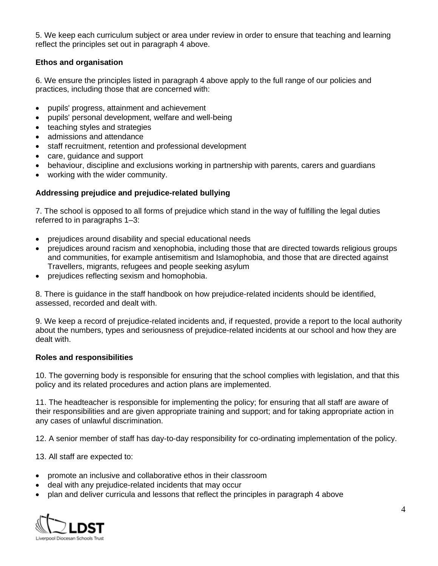5. We keep each curriculum subject or area under review in order to ensure that teaching and learning reflect the principles set out in paragraph 4 above.

# **Ethos and organisation**

6. We ensure the principles listed in paragraph 4 above apply to the full range of our policies and practices, including those that are concerned with:

- pupils' progress, attainment and achievement
- pupils' personal development, welfare and well-being
- teaching styles and strategies
- admissions and attendance
- staff recruitment, retention and professional development
- care, guidance and support
- behaviour, discipline and exclusions working in partnership with parents, carers and guardians
- working with the wider community.

# **Addressing prejudice and prejudice-related bullying**

7. The school is opposed to all forms of prejudice which stand in the way of fulfilling the legal duties referred to in paragraphs 1–3:

- prejudices around disability and special educational needs
- prejudices around racism and xenophobia, including those that are directed towards religious groups and communities, for example antisemitism and Islamophobia, and those that are directed against Travellers, migrants, refugees and people seeking asylum
- prejudices reflecting sexism and homophobia.

8. There is guidance in the staff handbook on how prejudice-related incidents should be identified, assessed, recorded and dealt with.

9. We keep a record of prejudice-related incidents and, if requested, provide a report to the local authority about the numbers, types and seriousness of prejudice-related incidents at our school and how they are dealt with.

#### **Roles and responsibilities**

10. The governing body is responsible for ensuring that the school complies with legislation, and that this policy and its related procedures and action plans are implemented.

11. The headteacher is responsible for implementing the policy; for ensuring that all staff are aware of their responsibilities and are given appropriate training and support; and for taking appropriate action in any cases of unlawful discrimination.

12. A senior member of staff has day-to-day responsibility for co-ordinating implementation of the policy.

13. All staff are expected to:

- promote an inclusive and collaborative ethos in their classroom
- deal with any prejudice-related incidents that may occur
- plan and deliver curricula and lessons that reflect the principles in paragraph 4 above

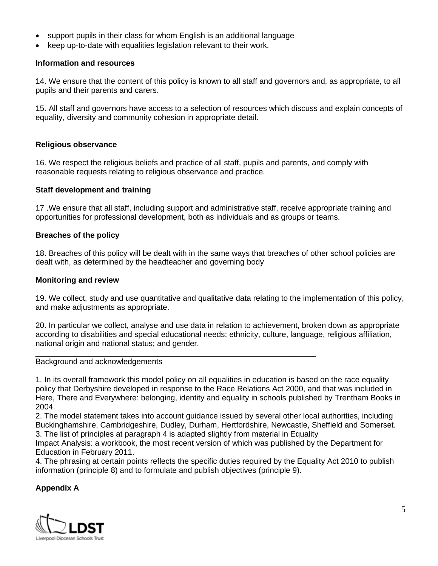- support pupils in their class for whom English is an additional language
- keep up-to-date with equalities legislation relevant to their work.

#### **Information and resources**

14. We ensure that the content of this policy is known to all staff and governors and, as appropriate, to all pupils and their parents and carers.

15. All staff and governors have access to a selection of resources which discuss and explain concepts of equality, diversity and community cohesion in appropriate detail.

#### **Religious observance**

16. We respect the religious beliefs and practice of all staff, pupils and parents, and comply with reasonable requests relating to religious observance and practice.

#### **Staff development and training**

17 .We ensure that all staff, including support and administrative staff, receive appropriate training and opportunities for professional development, both as individuals and as groups or teams.

#### **Breaches of the policy**

18. Breaches of this policy will be dealt with in the same ways that breaches of other school policies are dealt with, as determined by the headteacher and governing body

#### **Monitoring and review**

19. We collect, study and use quantitative and qualitative data relating to the implementation of this policy, and make adjustments as appropriate.

20. In particular we collect, analyse and use data in relation to achievement, broken down as appropriate according to disabilities and special educational needs; ethnicity, culture, language, religious affiliation, national origin and national status; and gender.

\_\_\_\_\_\_\_\_\_\_\_\_\_\_\_\_\_\_\_\_\_\_\_\_\_\_\_\_\_\_\_\_\_\_\_\_\_\_\_\_\_\_\_\_\_\_\_\_\_\_\_\_\_\_\_\_\_\_\_\_\_\_\_\_

Background and acknowledgements

1. In its overall framework this model policy on all equalities in education is based on the race equality policy that Derbyshire developed in response to the Race Relations Act 2000, and that was included in Here, There and Everywhere: belonging, identity and equality in schools published by Trentham Books in 2004.

2. The model statement takes into account guidance issued by several other local authorities, including Buckinghamshire, Cambridgeshire, Dudley, Durham, Hertfordshire, Newcastle, Sheffield and Somerset. 3. The list of principles at paragraph 4 is adapted slightly from material in Equality

Impact Analysis: a workbook, the most recent version of which was published by the Department for Education in February 2011.

4. The phrasing at certain points reflects the specific duties required by the Equality Act 2010 to publish information (principle 8) and to formulate and publish objectives (principle 9).

#### **Appendix A**

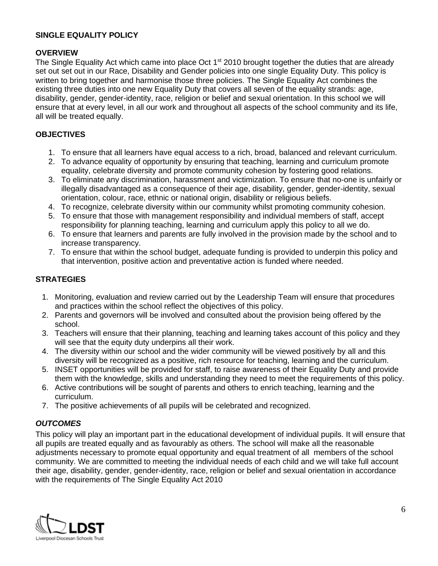### **SINGLE EQUALITY POLICY**

# **OVERVIEW**

The Single Equality Act which came into place Oct  $1<sup>st</sup>$  2010 brought together the duties that are already set out set out in our Race, Disability and Gender policies into one single Equality Duty. This policy is written to bring together and harmonise those three policies. The Single Equality Act combines the existing three duties into one new Equality Duty that covers all seven of the equality strands: age, disability, gender, gender-identity, race, religion or belief and sexual orientation. In this school we will ensure that at every level, in all our work and throughout all aspects of the school community and its life, all will be treated equally.

# **OBJECTIVES**

- 1. To ensure that all learners have equal access to a rich, broad, balanced and relevant curriculum.
- 2. To advance equality of opportunity by ensuring that teaching, learning and curriculum promote equality, celebrate diversity and promote community cohesion by fostering good relations.
- 3. To eliminate any discrimination, harassment and victimization. To ensure that no-one is unfairly or illegally disadvantaged as a consequence of their age, disability, gender, gender-identity, sexual orientation, colour, race, ethnic or national origin, disability or religious beliefs.
- 4. To recognize, celebrate diversity within our community whilst promoting community cohesion.
- 5. To ensure that those with management responsibility and individual members of staff, accept responsibility for planning teaching, learning and curriculum apply this policy to all we do.
- 6. To ensure that learners and parents are fully involved in the provision made by the school and to increase transparency.
- 7. To ensure that within the school budget, adequate funding is provided to underpin this policy and that intervention, positive action and preventative action is funded where needed.

# **STRATEGIES**

- 1. Monitoring, evaluation and review carried out by the Leadership Team will ensure that procedures and practices within the school reflect the objectives of this policy.
- 2. Parents and governors will be involved and consulted about the provision being offered by the school.
- 3. Teachers will ensure that their planning, teaching and learning takes account of this policy and they will see that the equity duty underpins all their work.
- 4. The diversity within our school and the wider community will be viewed positively by all and this diversity will be recognized as a positive, rich resource for teaching, learning and the curriculum.
- 5. INSET opportunities will be provided for staff, to raise awareness of their Equality Duty and provide them with the knowledge, skills and understanding they need to meet the requirements of this policy.
- 6. Active contributions will be sought of parents and others to enrich teaching, learning and the curriculum.
- 7. The positive achievements of all pupils will be celebrated and recognized.

# *OUTCOMES*

This policy will play an important part in the educational development of individual pupils. It will ensure that all pupils are treated equally and as favourably as others. The school will make all the reasonable adjustments necessary to promote equal opportunity and equal treatment of all members of the school community. We are committed to meeting the individual needs of each child and we will take full account their age, disability, gender, gender-identity, race, religion or belief and sexual orientation in accordance with the requirements of The Single Equality Act 2010

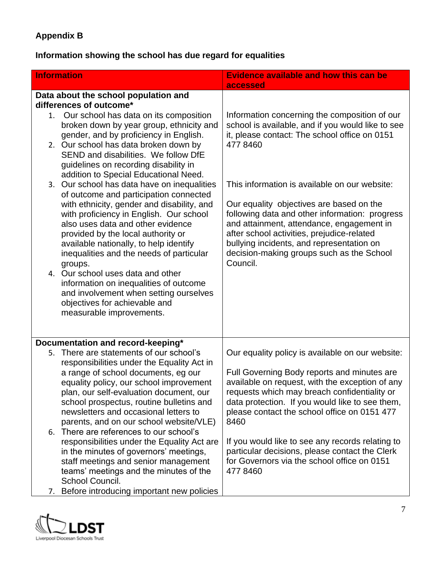# **Appendix B**

# **Information showing the school has due regard for equalities**

| <b>Information</b>                |                                                                                                                                                                                                                                                                                                                                                    | <b>Evidence available and how this can be</b>                                                                                                                                                                                                                                   |
|-----------------------------------|----------------------------------------------------------------------------------------------------------------------------------------------------------------------------------------------------------------------------------------------------------------------------------------------------------------------------------------------------|---------------------------------------------------------------------------------------------------------------------------------------------------------------------------------------------------------------------------------------------------------------------------------|
|                                   |                                                                                                                                                                                                                                                                                                                                                    | accessed                                                                                                                                                                                                                                                                        |
|                                   | Data about the school population and                                                                                                                                                                                                                                                                                                               |                                                                                                                                                                                                                                                                                 |
|                                   | differences of outcome*                                                                                                                                                                                                                                                                                                                            |                                                                                                                                                                                                                                                                                 |
| 1.                                | Our school has data on its composition<br>broken down by year group, ethnicity and<br>gender, and by proficiency in English.<br>2. Our school has data broken down by                                                                                                                                                                              | Information concerning the composition of our<br>school is available, and if you would like to see<br>it, please contact: The school office on 0151<br>477 8460                                                                                                                 |
|                                   | SEND and disabilities. We follow DfE<br>guidelines on recording disability in<br>addition to Special Educational Need.                                                                                                                                                                                                                             |                                                                                                                                                                                                                                                                                 |
|                                   | 3. Our school has data have on inequalities<br>of outcome and participation connected                                                                                                                                                                                                                                                              | This information is available on our website:                                                                                                                                                                                                                                   |
|                                   | with ethnicity, gender and disability, and<br>with proficiency in English. Our school<br>also uses data and other evidence<br>provided by the local authority or<br>available nationally, to help identify<br>inequalities and the needs of particular                                                                                             | Our equality objectives are based on the<br>following data and other information: progress<br>and attainment, attendance, engagement in<br>after school activities, prejudice-related<br>bullying incidents, and representation on<br>decision-making groups such as the School |
|                                   | groups.<br>4. Our school uses data and other<br>information on inequalities of outcome<br>and involvement when setting ourselves<br>objectives for achievable and<br>measurable improvements.                                                                                                                                                      | Council.                                                                                                                                                                                                                                                                        |
| Documentation and record-keeping* |                                                                                                                                                                                                                                                                                                                                                    |                                                                                                                                                                                                                                                                                 |
| 5.                                | There are statements of our school's                                                                                                                                                                                                                                                                                                               | Our equality policy is available on our website:                                                                                                                                                                                                                                |
|                                   | responsibilities under the Equality Act in<br>a range of school documents, eg our<br>equality policy, our school improvement<br>plan, our self-evaluation document, our<br>school prospectus, routine bulletins and<br>newsletters and occasional letters to<br>parents, and on our school website/VLE)<br>6. There are references to our school's | Full Governing Body reports and minutes are<br>available on request, with the exception of any<br>requests which may breach confidentiality or<br>data protection. If you would like to see them,<br>please contact the school office on 0151 477<br>8460                       |
|                                   | responsibilities under the Equality Act are<br>in the minutes of governors' meetings,<br>staff meetings and senior management<br>teams' meetings and the minutes of the<br>School Council.<br>Before introducing important new policies                                                                                                            | If you would like to see any records relating to<br>particular decisions, please contact the Clerk<br>for Governors via the school office on 0151<br>477 8460                                                                                                                   |
| 7.                                |                                                                                                                                                                                                                                                                                                                                                    |                                                                                                                                                                                                                                                                                 |

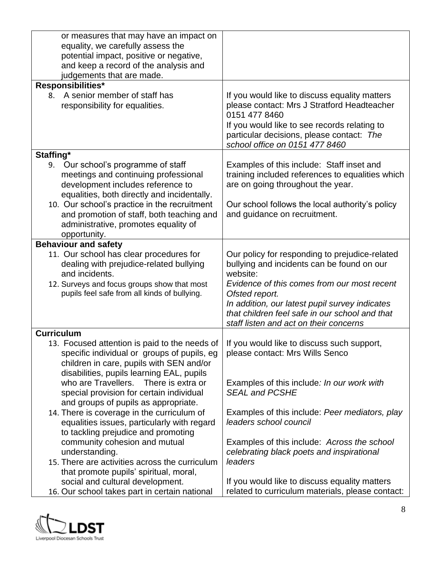| or measures that may have an impact on<br>equality, we carefully assess the<br>potential impact, positive or negative,<br>and keep a record of the analysis and                                     |                                                                                                                                                                                                                                                                               |  |  |
|-----------------------------------------------------------------------------------------------------------------------------------------------------------------------------------------------------|-------------------------------------------------------------------------------------------------------------------------------------------------------------------------------------------------------------------------------------------------------------------------------|--|--|
| judgements that are made.                                                                                                                                                                           |                                                                                                                                                                                                                                                                               |  |  |
| Responsibilities*                                                                                                                                                                                   |                                                                                                                                                                                                                                                                               |  |  |
| 8. A senior member of staff has<br>responsibility for equalities.                                                                                                                                   | If you would like to discuss equality matters<br>please contact: Mrs J Stratford Headteacher<br>0151 477 8460<br>If you would like to see records relating to<br>particular decisions, please contact: The<br>school office on 0151 477 8460                                  |  |  |
| Staffing*                                                                                                                                                                                           |                                                                                                                                                                                                                                                                               |  |  |
| 9. Our school's programme of staff<br>meetings and continuing professional<br>development includes reference to                                                                                     | Examples of this include: Staff inset and<br>training included references to equalities which<br>are on going throughout the year.                                                                                                                                            |  |  |
| equalities, both directly and incidentally.<br>10. Our school's practice in the recruitment                                                                                                         | Our school follows the local authority's policy                                                                                                                                                                                                                               |  |  |
| and promotion of staff, both teaching and                                                                                                                                                           | and guidance on recruitment.                                                                                                                                                                                                                                                  |  |  |
| administrative, promotes equality of                                                                                                                                                                |                                                                                                                                                                                                                                                                               |  |  |
| opportunity.                                                                                                                                                                                        |                                                                                                                                                                                                                                                                               |  |  |
| <b>Behaviour and safety</b>                                                                                                                                                                         |                                                                                                                                                                                                                                                                               |  |  |
| 11. Our school has clear procedures for<br>dealing with prejudice-related bullying<br>and incidents.<br>12. Surveys and focus groups show that most<br>pupils feel safe from all kinds of bullying. | Our policy for responding to prejudice-related<br>bullying and incidents can be found on our<br>website:<br>Evidence of this comes from our most recent<br>Ofsted report.<br>In addition, our latest pupil survey indicates<br>that children feel safe in our school and that |  |  |
|                                                                                                                                                                                                     | staff listen and act on their concerns                                                                                                                                                                                                                                        |  |  |
| <b>Curriculum</b>                                                                                                                                                                                   |                                                                                                                                                                                                                                                                               |  |  |
| 13. Focused attention is paid to the needs of<br>specific individual or groups of pupils, eg<br>children in care, pupils with SEN and/or<br>disabilities, pupils learning EAL, pupils               | If you would like to discuss such support,<br>please contact: Mrs Wills Senco                                                                                                                                                                                                 |  |  |
| who are Travellers.<br>There is extra or<br>special provision for certain individual<br>and groups of pupils as appropriate.                                                                        | Examples of this include: In our work with<br><b>SEAL and PCSHE</b>                                                                                                                                                                                                           |  |  |
| 14. There is coverage in the curriculum of<br>equalities issues, particularly with regard<br>to tackling prejudice and promoting                                                                    | Examples of this include: Peer mediators, play<br>leaders school council                                                                                                                                                                                                      |  |  |
| community cohesion and mutual<br>understanding.<br>15. There are activities across the curriculum                                                                                                   | Examples of this include: Across the school<br>celebrating black poets and inspirational<br>leaders                                                                                                                                                                           |  |  |
| that promote pupils' spiritual, moral,                                                                                                                                                              |                                                                                                                                                                                                                                                                               |  |  |
| social and cultural development.<br>16. Our school takes part in certain national                                                                                                                   | If you would like to discuss equality matters<br>related to curriculum materials, please contact:                                                                                                                                                                             |  |  |